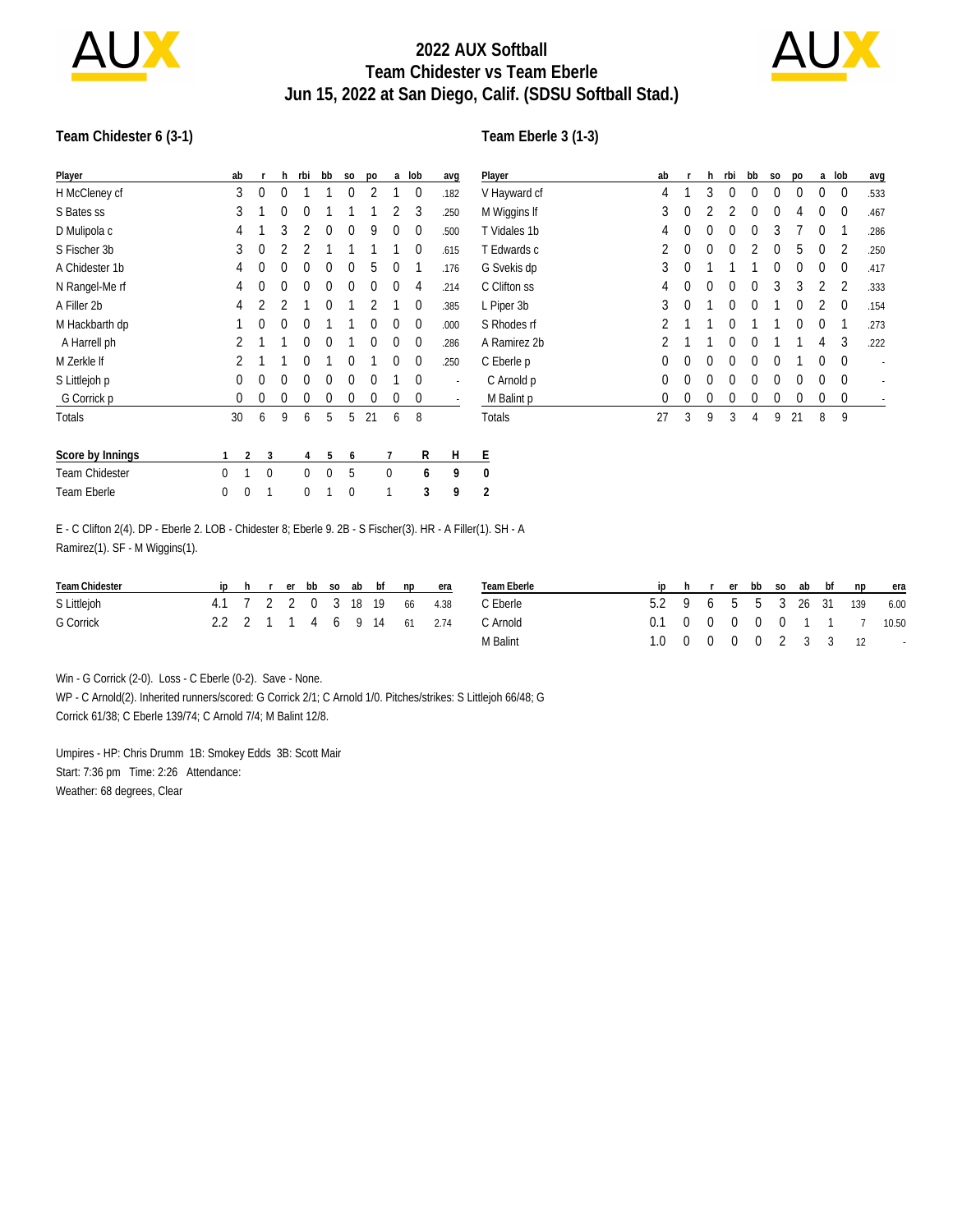

## **2022 AUX Softball Team Chidester vs Team Eberle Jun 15, 2022 at San Diego, Calif. (SDSU Softball Stad.)**



#### **Team Chidester 6 (3-1)**

#### **Team Eberle 3 (1-3)**

| Player                | ab       |              | h            | rbi         | bb           | S <sub>0</sub> | po | a | lob         | avg  | Player         | ab           |          | h        | rbi      | bb       | S <sub>0</sub> | po       | a        | lob         | avg                      |
|-----------------------|----------|--------------|--------------|-------------|--------------|----------------|----|---|-------------|------|----------------|--------------|----------|----------|----------|----------|----------------|----------|----------|-------------|--------------------------|
| H McCleney cf         | 3        | $\mathbf 0$  | 0            |             |              | 0              |    |   | 0           | .182 | V Hayward cf   | 4            |          | 3        | $\Omega$ | 0        | 0              | 0        | 0        | $\mathbf 0$ | .533                     |
| S Bates ss            | 3        |              | 0            | 0           |              |                |    |   | 3           | .250 | M Wiggins If   | 3            | 0        |          |          | 0        | 0              | 4        | 0        | $\mathbf 0$ | .467                     |
| D Mulipola c          | 4        |              | 3            |             | 0            | 0              | 9  | 0 | 0           | .500 | T Vidales 1b   | 4            | 0        | 0        | 0        | 0        | 3              |          | 0        |             | .286                     |
| S Fischer 3b          | 3        | 0            |              |             |              |                |    |   | 0           | .615 | T Edwards c    |              | 0        | $\Omega$ | 0        |          | 0              | 5        | 0        | 2           | .250                     |
| A Chidester 1b        | 4        | 0            | 0            | 0           | 0            | 0              | 5  | 0 |             | .176 | G Svekis dp    | 3            |          |          |          |          | 0              | 0        | 0        | 0           | .417                     |
| N Rangel-Me rf        | 4        | 0            | 0            | 0           | 0            | 0              | 0  | 0 | 4           | .214 | C Clifton ss   |              | 0        | $\Omega$ | $\Omega$ | 0        | 3              | 3        | 2        | 2           | .333                     |
| A Filler 2b           | 4        |              |              |             | 0            |                |    |   | $\theta$    | .385 | L Piper 3b     | 3            | $\theta$ |          | $\Omega$ | $\theta$ |                | $\theta$ | 2        | $\Omega$    | .154                     |
| M Hackbarth dp        |          | 0            | 0            | 0           |              |                | 0  | 0 | 0           | .000 | S Rhodes rf    |              |          |          |          |          |                | $\theta$ | $\Omega$ |             | .273                     |
| A Harrell ph          |          |              |              | $\theta$    | $\theta$     |                | 0  | 0 | $\mathbf 0$ | .286 | A Ramirez 2b   |              |          |          | 0        | 0        |                |          | 4        | 3           | .222                     |
| M Zerkle If           |          |              |              | 0           |              | 0              |    | 0 | $\mathbf 0$ | .250 | C Eberle p     | 0            | 0        | 0        | 0        | 0        | 0              |          | 0        | $\mathbf 0$ | $\overline{\phantom{a}}$ |
| S Littlejoh p         | 0        | 0            | 0            | 0           | 0            | 0              | 0  |   | $\mathbf 0$ |      | C Arnold p     | 0            | $\Omega$ | 0        | $\Omega$ | 0        | $\Omega$       | 0        | $\Omega$ | $\mathbf 0$ |                          |
| G Corrick p           | $\theta$ | 0            | 0            |             | 0            |                | 0  | 0 | 0           |      | M Balint p     | $\mathbf{0}$ | 0        | 0        | C        |          |                | $\theta$ | 0        | 0           |                          |
| Totals                | 30       | 6            | 9            | 6           | 5            | 5              | 21 | 6 | 8           |      | Totals         | 27           | 3        | 9        | 3        | 4        | 9              | 21       | 8        | 9           |                          |
| Score by Innings      |          | 2            | 3            | 4           | 5            | 6              |    | 7 | R           | H    | Ε              |              |          |          |          |          |                |          |          |             |                          |
| <b>Team Chidester</b> | 0<br>1   |              | $\mathbf{0}$ | $\mathbf 0$ | $\mathbf{0}$ | 5              |    | 0 | 6           | 9    | 0              |              |          |          |          |          |                |          |          |             |                          |
| Team Eberle           | 0        | $\mathbf{0}$ | 1            | 0           |              | $\mathbf{0}$   |    |   | 3           | 9    | $\overline{2}$ |              |          |          |          |          |                |          |          |             |                          |
|                       |          |              |              |             |              |                |    |   |             |      |                |              |          |          |          |          |                |          |          |             |                          |

E - C Clifton 2(4). DP - Eberle 2. LOB - Chidester 8; Eberle 9. 2B - S Fischer(3). HR - A Filler(1). SH - A Ramirez(1). SF - M Wiggins(1).

| Team Chidester |  |  |  |  | ip h r er bb so ab bf np era | Team Eberle |                              |  |  |  | iphrerbbsoabbfnp | era                                       |
|----------------|--|--|--|--|------------------------------|-------------|------------------------------|--|--|--|------------------|-------------------------------------------|
| S Littlejoh    |  |  |  |  | 4.1 7 2 2 0 3 18 19 66 4.38  | C Eberle    | 5.2 9 6 5 5 3 26 31 139 6.00 |  |  |  |                  |                                           |
| G Corrick      |  |  |  |  | 2.2 2 1 1 4 6 9 14 61 2.74   | C. Arnold   |                              |  |  |  |                  | 0.1 0 0 0 0 0 1 1 7 10.50                 |
|                |  |  |  |  |                              | M Balint    |                              |  |  |  |                  | $1.0 \t 0 \t 0 \t 0 \t 2 \t 3 \t 3 \t 12$ |

Win - G Corrick (2-0). Loss - C Eberle (0-2). Save - None.

WP - C Arnold(2). Inherited runners/scored: G Corrick 2/1; C Arnold 1/0. Pitches/strikes: S Littlejoh 66/48; G Corrick 61/38; C Eberle 139/74; C Arnold 7/4; M Balint 12/8.

Umpires - HP: Chris Drumm 1B: Smokey Edds 3B: Scott Mair Start: 7:36 pm Time: 2:26 Attendance: Weather: 68 degrees, Clear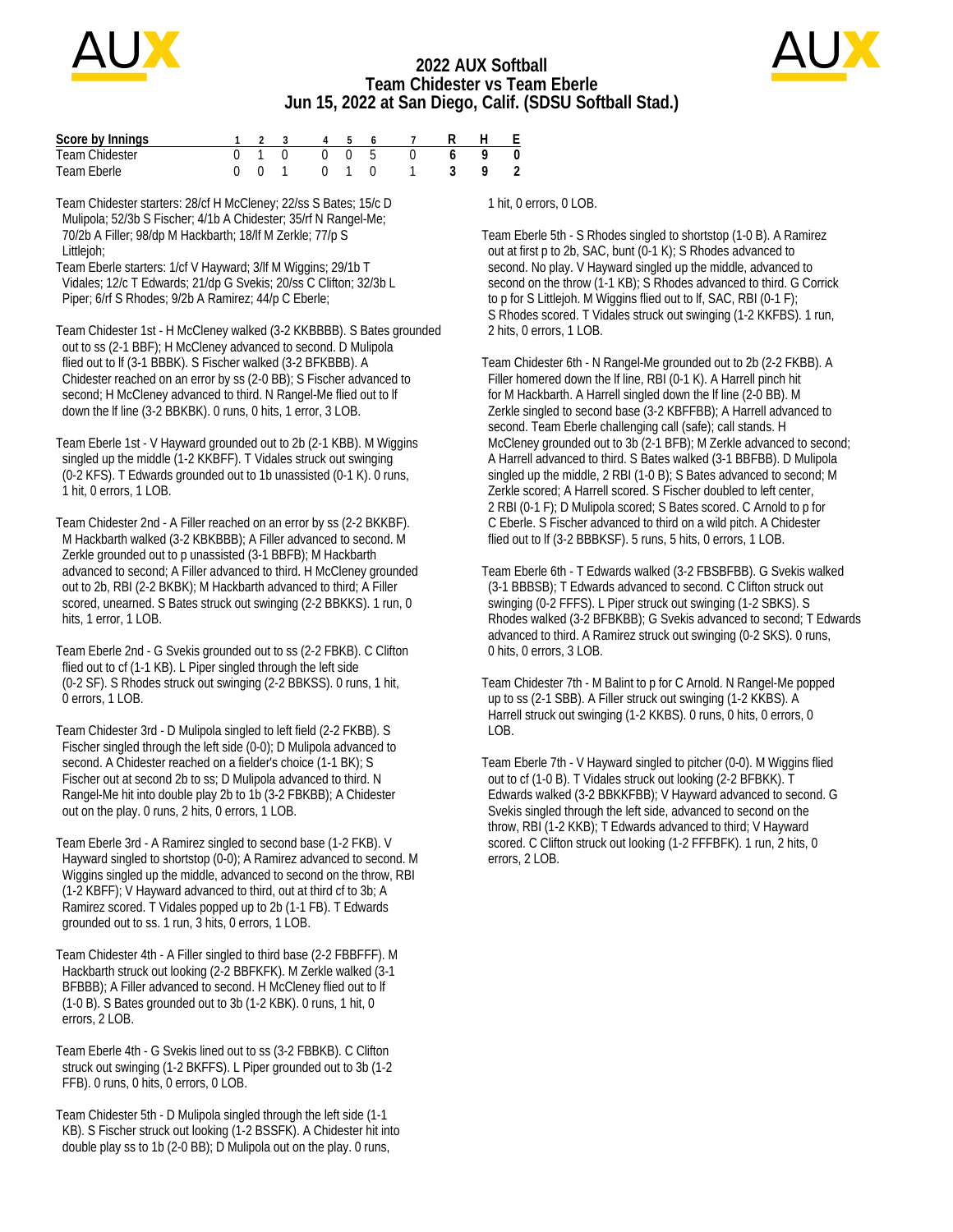

## **2022 AUX Softball Team Chidester vs Team Eberle Jun 15, 2022 at San Diego, Calif. (SDSU Softball Stad.)**



| Score by Innings |  |  |  | 1 2 3 4 5 6 7                                       | H F |                    |
|------------------|--|--|--|-----------------------------------------------------|-----|--------------------|
| Team Chidester   |  |  |  | $0 \quad 1 \quad 0 \quad 0 \quad 0 \quad 5 \quad 0$ |     | $\hspace{0.1cm} 0$ |
| Team Eberle      |  |  |  | 0 1 0 1 3 9                                         |     | - 2                |

Team Chidester starters: 28/cf H McCleney; 22/ss S Bates; 15/c D Mulipola; 52/3b S Fischer; 4/1b A Chidester; 35/rf N Rangel-Me; 70/2b A Filler; 98/dp M Hackbarth; 18/lf M Zerkle; 77/p S Littlejoh;

Team Eberle starters: 1/cf V Hayward; 3/lf M Wiggins; 29/1b T Vidales; 12/c T Edwards; 21/dp G Svekis; 20/ss C Clifton; 32/3b L Piper; 6/rf S Rhodes; 9/2b A Ramirez; 44/p C Eberle;

Team Chidester 1st - H McCleney walked (3-2 KKBBBB). S Bates grounded out to ss (2-1 BBF); H McCleney advanced to second. D Mulipola flied out to lf (3-1 BBBK). S Fischer walked (3-2 BFKBBB). A Chidester reached on an error by ss (2-0 BB); S Fischer advanced to second; H McCleney advanced to third. N Rangel-Me flied out to lf down the lf line (3-2 BBKBK). 0 runs, 0 hits, 1 error, 3 LOB.

Team Eberle 1st - V Hayward grounded out to 2b (2-1 KBB). M Wiggins singled up the middle (1-2 KKBFF). T Vidales struck out swinging (0-2 KFS). T Edwards grounded out to 1b unassisted (0-1 K). 0 runs, 1 hit, 0 errors, 1 LOB.

Team Chidester 2nd - A Filler reached on an error by ss (2-2 BKKBF). M Hackbarth walked (3-2 KBKBBB); A Filler advanced to second. M Zerkle grounded out to p unassisted (3-1 BBFB); M Hackbarth advanced to second; A Filler advanced to third. H McCleney grounded out to 2b, RBI (2-2 BKBK); M Hackbarth advanced to third; A Filler scored, unearned. S Bates struck out swinging (2-2 BBKKS). 1 run, 0 hits, 1 error, 1 LOB.

Team Eberle 2nd - G Svekis grounded out to ss (2-2 FBKB). C Clifton flied out to cf (1-1 KB). L Piper singled through the left side (0-2 SF). S Rhodes struck out swinging (2-2 BBKSS). 0 runs, 1 hit, 0 errors, 1 LOB.

Team Chidester 3rd - D Mulipola singled to left field (2-2 FKBB). S Fischer singled through the left side (0-0); D Mulipola advanced to second. A Chidester reached on a fielder's choice (1-1 BK); S Fischer out at second 2b to ss; D Mulipola advanced to third. N Rangel-Me hit into double play 2b to 1b (3-2 FBKBB); A Chidester out on the play. 0 runs, 2 hits, 0 errors, 1 LOB.

Team Eberle 3rd - A Ramirez singled to second base (1-2 FKB). V Hayward singled to shortstop (0-0); A Ramirez advanced to second. M Wiggins singled up the middle, advanced to second on the throw, RBI (1-2 KBFF); V Hayward advanced to third, out at third cf to 3b; A Ramirez scored. T Vidales popped up to 2b (1-1 FB). T Edwards grounded out to ss. 1 run, 3 hits, 0 errors, 1 LOB.

Team Chidester 4th - A Filler singled to third base (2-2 FBBFFF). M Hackbarth struck out looking (2-2 BBFKFK). M Zerkle walked (3-1 BFBBB); A Filler advanced to second. H McCleney flied out to lf (1-0 B). S Bates grounded out to 3b (1-2 KBK). 0 runs, 1 hit, 0 errors, 2 LOB.

Team Eberle 4th - G Svekis lined out to ss (3-2 FBBKB). C Clifton struck out swinging (1-2 BKFFS). L Piper grounded out to 3b (1-2 FFB). 0 runs, 0 hits, 0 errors, 0 LOB.

Team Chidester 5th - D Mulipola singled through the left side (1-1 KB). S Fischer struck out looking (1-2 BSSFK). A Chidester hit into double play ss to 1b (2-0 BB); D Mulipola out on the play. 0 runs,

1 hit, 0 errors, 0 LOB.

Team Eberle 5th - S Rhodes singled to shortstop (1-0 B). A Ramirez out at first p to 2b, SAC, bunt (0-1 K); S Rhodes advanced to second. No play. V Hayward singled up the middle, advanced to second on the throw (1-1 KB); S Rhodes advanced to third. G Corrick to p for S Littlejoh. M Wiggins flied out to lf, SAC, RBI (0-1 F); S Rhodes scored. T Vidales struck out swinging (1-2 KKFBS). 1 run, 2 hits, 0 errors, 1 LOB.

Team Chidester 6th - N Rangel-Me grounded out to 2b (2-2 FKBB). A Filler homered down the lf line, RBI (0-1 K). A Harrell pinch hit for M Hackbarth. A Harrell singled down the lf line (2-0 BB). M Zerkle singled to second base (3-2 KBFFBB); A Harrell advanced to second. Team Eberle challenging call (safe); call stands. H McCleney grounded out to 3b (2-1 BFB); M Zerkle advanced to second; A Harrell advanced to third. S Bates walked (3-1 BBFBB). D Mulipola singled up the middle, 2 RBI (1-0 B); S Bates advanced to second; M Zerkle scored; A Harrell scored. S Fischer doubled to left center, 2 RBI (0-1 F); D Mulipola scored; S Bates scored. C Arnold to p for C Eberle. S Fischer advanced to third on a wild pitch. A Chidester flied out to lf (3-2 BBBKSF). 5 runs, 5 hits, 0 errors, 1 LOB.

Team Eberle 6th - T Edwards walked (3-2 FBSBFBB). G Svekis walked (3-1 BBBSB); T Edwards advanced to second. C Clifton struck out swinging (0-2 FFFS). L Piper struck out swinging (1-2 SBKS). S Rhodes walked (3-2 BFBKBB); G Svekis advanced to second; T Edwards advanced to third. A Ramirez struck out swinging (0-2 SKS). 0 runs, 0 hits, 0 errors, 3 LOB.

Team Chidester 7th - M Balint to p for C Arnold. N Rangel-Me popped up to ss (2-1 SBB). A Filler struck out swinging (1-2 KKBS). A Harrell struck out swinging (1-2 KKBS). 0 runs, 0 hits, 0 errors, 0 LOB.

Team Eberle 7th - V Hayward singled to pitcher (0-0). M Wiggins flied out to cf (1-0 B). T Vidales struck out looking (2-2 BFBKK). T Edwards walked (3-2 BBKKFBB); V Hayward advanced to second. G Svekis singled through the left side, advanced to second on the throw, RBI (1-2 KKB); T Edwards advanced to third; V Hayward scored. C Clifton struck out looking (1-2 FFFBFK). 1 run, 2 hits, 0 errors, 2 LOB.